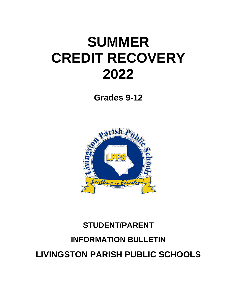# **SUMMER CREDIT RECOVERY 2022**

**Grades 9-12**



## **STUDENT/PARENT INFORMATION BULLETIN LIVINGSTON PARISH PUBLIC SCHOOLS**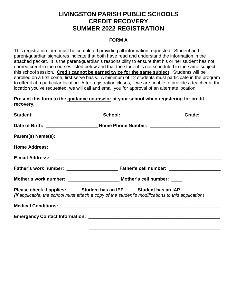#### **LIVINGSTON PARISH PUBLIC SCHOOLS CREDIT RECOVERY SUMMER 2022 REGISTRATION**

#### **FORM A**

This registration form must be completed providing all information requested. Student and parent/guardian signatures indicate that both have read and understand the information in the attached packet. It is the parent/guardian's responsibility to ensure that his or her student has not earned credit in the courses listed below and that the student is not scheduled in the same subject this school session. **Credit cannot be earned twice for the same subject**. Students will be enrolled on a first come, first serve basis. A minimum of 12 students must participate in the program to offer it at a particular location. After registration closes, if we are unable to provide a teacher at the location you've requested, we will call and email you for approval of an alternate location.

**Present this form to the guidance counselor at your school when registering for credit recovery.**

| Student: _________________________________School: __________________________Grade: _____                                                                                        |  |
|---------------------------------------------------------------------------------------------------------------------------------------------------------------------------------|--|
|                                                                                                                                                                                 |  |
|                                                                                                                                                                                 |  |
|                                                                                                                                                                                 |  |
|                                                                                                                                                                                 |  |
|                                                                                                                                                                                 |  |
|                                                                                                                                                                                 |  |
| Please check if applies: _____ Student has an IEP _____ Student has an IAP<br>(If applicable, the school must attach a copy of the student's modifications to this application) |  |
|                                                                                                                                                                                 |  |
|                                                                                                                                                                                 |  |
|                                                                                                                                                                                 |  |
|                                                                                                                                                                                 |  |

**\_\_\_\_\_\_\_\_\_\_\_\_\_\_\_\_\_\_\_\_\_\_\_\_\_\_\_\_\_\_\_\_\_\_\_\_\_\_\_\_\_\_\_\_\_\_\_\_\_\_\_**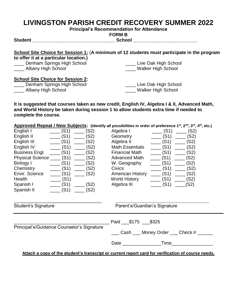#### **LIVINGSTON PARISH CREDIT RECOVERY SUMMER 2022**

**Principal's Recommendation for Attendance**

**FORM B**

**Student \_\_\_\_\_\_\_\_\_\_\_\_\_\_\_\_\_\_\_\_\_\_\_\_\_\_\_\_\_\_\_\_ School \_\_\_\_\_\_\_\_\_\_\_\_\_\_\_\_\_\_\_\_\_\_\_\_\_** 

| to offer it at a particular location.)   | School Site Choice for Session 1: (A minimum of 12 students must participate in the program |
|------------------------------------------|---------------------------------------------------------------------------------------------|
| Denham Springs High School               | Live Oak High School                                                                        |
| Albany High School                       | <b>Walker High School</b>                                                                   |
| <b>School Site Choice for Session 2:</b> |                                                                                             |
| Denham Springs High School               | Live Oak High School                                                                        |
| Albany High School                       | <b>Walker High School</b>                                                                   |
|                                          |                                                                                             |
|                                          |                                                                                             |

**It is suggested that courses taken as new credit, English IV, Algebra I & II, Advanced Math, and World History be taken during session 1 to allow students extra time if needed to complete the course.**

**Approved Repeat / New Subjects: (Identify all possibilities in order of preference 1st, 2nd, 3rd , 4 th , etc.)**

| English I                                                                                                 | (S1)                                  |  |  |  |
|-----------------------------------------------------------------------------------------------------------|---------------------------------------|--|--|--|
| (S1)                                                                                                      | (S2)                                  |  |  |  |
| (S2)                                                                                                      | Algebra I                             |  |  |  |
| (S1)                                                                                                      | (S1)                                  |  |  |  |
| English II                                                                                                | (S2)                                  |  |  |  |
| (S2)                                                                                                      | Geometry                              |  |  |  |
| English III                                                                                               | Algebra II                            |  |  |  |
| (S1)                                                                                                      | (S1)                                  |  |  |  |
| (S2)                                                                                                      | (S2)                                  |  |  |  |
| English IV                                                                                                | <b>Math Essentials</b>                |  |  |  |
| (S1)                                                                                                      | (S1)                                  |  |  |  |
| (S2)                                                                                                      | (S2)                                  |  |  |  |
| <b>Business Engl.</b>                                                                                     | <b>Financial Math</b>                 |  |  |  |
| (S1)                                                                                                      | (S1)                                  |  |  |  |
| (S2)                                                                                                      | (S2)                                  |  |  |  |
| Physical Science _                                                                                        | <b>Advanced Math</b>                  |  |  |  |
| (S1)                                                                                                      | (S2)                                  |  |  |  |
| (S2)                                                                                                      | (S1)                                  |  |  |  |
| (S1)                                                                                                      | (S1)                                  |  |  |  |
| (S2)                                                                                                      | (S2)                                  |  |  |  |
| Biology I                                                                                                 | W. Geography                          |  |  |  |
| (S1)                                                                                                      | (S2)                                  |  |  |  |
| Chemistry                                                                                                 | <b>Civics</b>                         |  |  |  |
| (S2)                                                                                                      | (S1)                                  |  |  |  |
| Envir. Science                                                                                            | (S1)                                  |  |  |  |
| (S1)                                                                                                      | (S2)                                  |  |  |  |
| (S2)                                                                                                      | <b>American History</b>               |  |  |  |
| Health<br>(S1)                                                                                            | <b>World History</b><br>(S1)<br>(S2)  |  |  |  |
| (S1)                                                                                                      | Algebra III                           |  |  |  |
| (S2)                                                                                                      | (S1)                                  |  |  |  |
| Spanish I                                                                                                 | (S2)                                  |  |  |  |
| (S1)<br>Spanish II<br>(S2)                                                                                |                                       |  |  |  |
| <b>Student's Signature</b>                                                                                | Parent's/Guardian's Signature         |  |  |  |
|                                                                                                           | Paid \$175 \$325                      |  |  |  |
| Principal's/Guidance Counselor's Signature                                                                |                                       |  |  |  |
|                                                                                                           | Cash ___ Money Order ___ Check # ____ |  |  |  |
|                                                                                                           | Time                                  |  |  |  |
| <u>Attach a copy of the student's transcript or current report card for verification of course needs.</u> |                                       |  |  |  |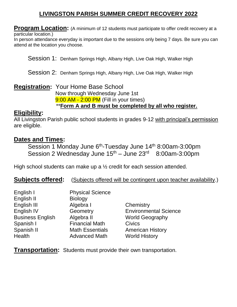#### **LIVINGSTON PARISH SUMMER CREDIT RECOVERY 2022**

**Program Location:** (A minimum of 12 students must participate to offer credit recovery at a particular location.)

In person attendance everyday is important due to the sessions only being 7 days. Be sure you can attend at the location you choose.

Session 1: Denham Springs High, Albany High, Live Oak High, Walker High

Session 2: Denham Springs High, Albany High, Live Oak High, Walker High

**Registration:** Your Home Base School

 Now through Wednesday June 1st 9:00 AM - 2:00 PM (Fill in your times) \*\***Form A and B must be completed by all who register.** 

#### **Eligibility:**

All Livingston Parish public school students in grades 9-12 with principal's permission are eligible.

#### **Dates and Times:**

Session 1 Monday June 6<sup>th</sup>-Tuesday June 14<sup>th</sup> 8:00am-3:00pm Session 2 Wednesday June 15<sup>th</sup> – June 23<sup>rd</sup> 8:00am-3:00pm

High school students can make up a ½ credit for each session attended.

**Subjects offered:** (Subjects offered will be contingent upon teacher availability.)

| English I               | <b>Physical Science</b> |                              |
|-------------------------|-------------------------|------------------------------|
| English II              | <b>Biology</b>          |                              |
| English III             | Algebra I               | Chemistry                    |
| English IV              | Geometry                | <b>Environmental Science</b> |
| <b>Business English</b> | Algebra II              | <b>World Geography</b>       |
| Spanish I               | <b>Financial Math</b>   | Civics                       |
| Spanish II              | <b>Math Essentials</b>  | <b>American History</b>      |
| <b>Health</b>           | <b>Advanced Math</b>    | <b>World History</b>         |
|                         |                         |                              |

**Transportation:** Students must provide their own transportation.